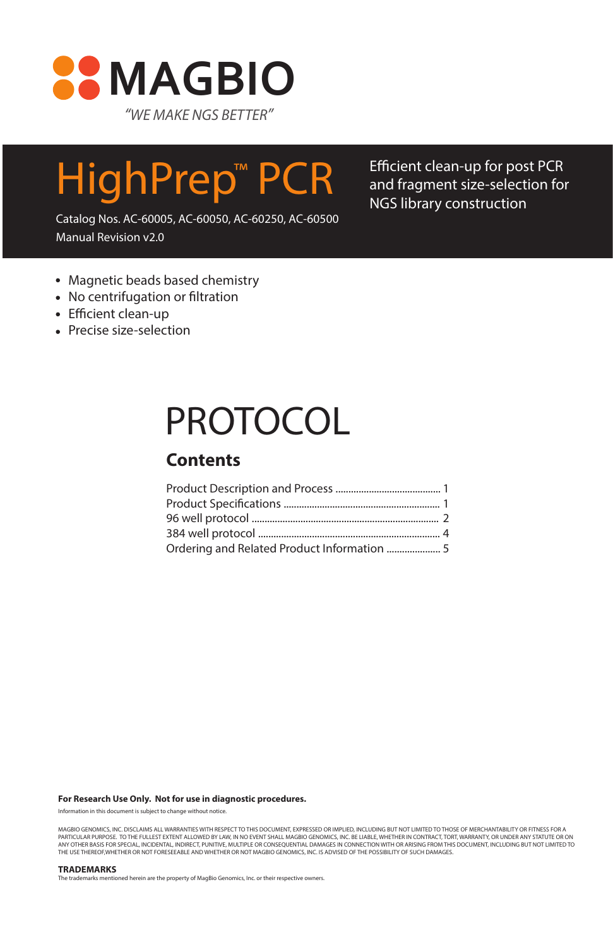

# HighPrep<sup>"</sup> PCR

Catalog Nos. AC-60005, AC-60050, AC-60250, AC-60500 Manual Revision v2.0

Efficient clean-up for post PCR and fragment size-selection for NGS library construction

- Magnetic beads based chemistry
- No centrifugation or filtration
- Efficient clean-up
- Precise size-selection

## PROTOCOL

#### **Contents**

| Ordering and Related Product Information  5 |  |
|---------------------------------------------|--|

#### **For Research Use Only. Not for use in diagnostic procedures.**

Information in this document is subject to change without notice.

MAGEIO GENOMCS, INC. DISCLAIMS ALL WARRANTIES WITH RESPECT TO THOTAGE AROUGE DESCRIPTION OF DESCRIPTION OF DES<br>PARTICILAR PURPOSE. TO THE FULLEST EXTENT ALLOWED BY LAW, IN NO EVENT SHALL IMAGES OF DESCRIPTION IN MERIAL TO<br>

#### **TRADEMARKS**

The trademarks mentioned herein are the property of MagBio Genomics, Inc. or their respective owners.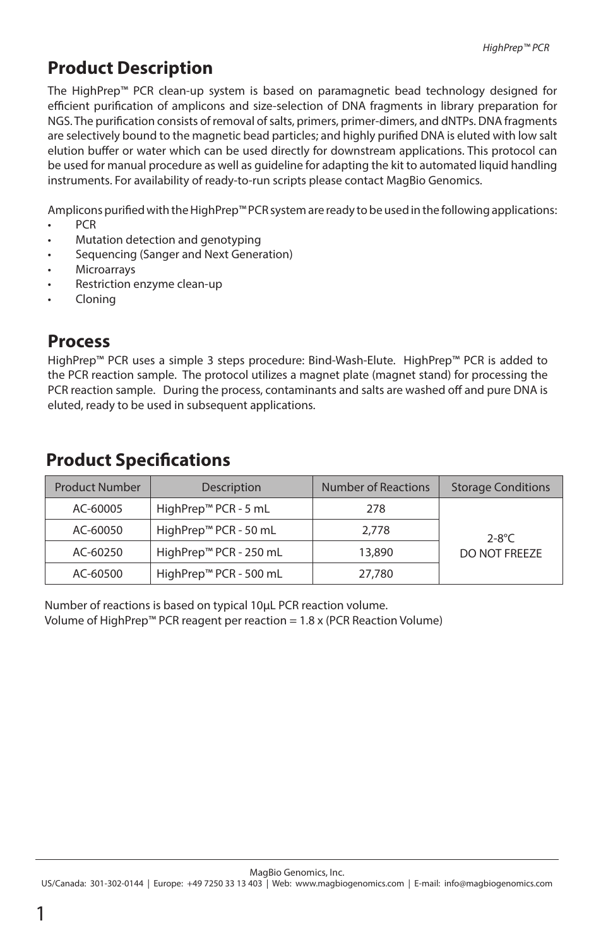#### **Product Description**

The HighPrep™ PCR clean-up system is based on paramagnetic bead technology designed for efficient purification of amplicons and size-selection of DNA fragments in library preparation for NGS. The purification consists of removal of salts, primers, primer-dimers, and dNTPs. DNA fragments are selectively bound to the magnetic bead particles; and highly purified DNA is eluted with low salt elution buffer or water which can be used directly for downstream applications. This protocol can be used for manual procedure as well as guideline for adapting the kit to automated liquid handling instruments. For availability of ready-to-run scripts please contact MagBio Genomics.

Amplicons purified with the HighPrep™ PCR system are ready to be used in the following applications:

- PCR
- Mutation detection and genotyping
- Sequencing (Sanger and Next Generation)
- **Microarrays**
- Restriction enzyme clean-up
- Cloning

#### **Process**

HighPrep™ PCR uses a simple 3 steps procedure: Bind-Wash-Elute. HighPrep™ PCR is added to the PCR reaction sample. The protocol utilizes a magnet plate (magnet stand) for processing the PCR reaction sample. During the process, contaminants and salts are washed off and pure DNA is eluted, ready to be used in subsequent applications.

| <b>Product Number</b> | Description                      | Number of Reactions | <b>Storage Conditions</b> |
|-----------------------|----------------------------------|---------------------|---------------------------|
| AC-60005              | HighPrep <sup>™</sup> PCR - 5 mL | 278                 |                           |
| AC-60050              | HighPrep™ PCR - 50 mL            | 2.778               | $2 - 8^\circ C$           |
| AC-60250              | HighPrep™ PCR - 250 mL           | 13,890              | <b>DO NOT FREEZE</b>      |
| AC-60500              | HighPrep™ PCR - 500 mL           | 27,780              |                           |

#### **Product Specifications**

Number of reactions is based on typical 10μL PCR reaction volume. Volume of HighPrep™ PCR reagent per reaction = 1.8 x (PCR Reaction Volume)

MagBio Genomics, Inc.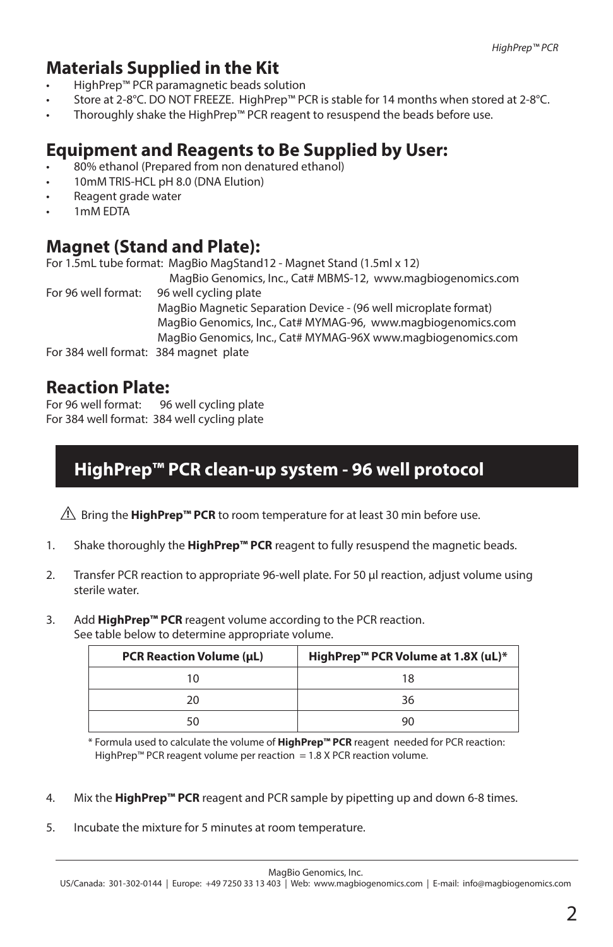#### **Materials Supplied in the Kit**

- HighPrep™ PCR paramagnetic beads solution
- Store at 2-8°C. DO NOT FREEZE. HighPrep™ PCR is stable for 14 months when stored at 2-8°C.
- Thoroughly shake the HighPrep™ PCR reagent to resuspend the beads before use.

#### **Equipment and Reagents to Be Supplied by User:**

- 80% ethanol (Prepared from non denatured ethanol)
- 10mM TRIS-HCL pH 8.0 (DNA Elution)
- Reagent grade water
- 1mM EDTA

#### **Magnet (Stand and Plate):**

For 1.5mL tube format: MagBio MagStand12 - Magnet Stand (1.5ml x 12)

 MagBio Genomics, Inc., Cat# MBMS-12, www.magbiogenomics.com For 96 well format: 96 well cycling plate MagBio Magnetic Separation Device - (96 well microplate format) MagBio Genomics, Inc., Cat# MYMAG-96, www.magbiogenomics.com MagBio Genomics, Inc., Cat# MYMAG-96X www.magbiogenomics.com For 384 well format: 384 magnet plate

**Reaction Plate:**<br>For 96 well format: 96

96 well cycling plate For 384 well format: 384 well cycling plate

### **HighPrep™ PCR clean-up system - 96 well protocol**

**!** Bring the **HighPrep™ PCR** to room temperature for at least 30 min before use.

- 1. Shake thoroughly the **HighPrep™ PCR** reagent to fully resuspend the magnetic beads.
- 2. Transfer PCR reaction to appropriate 96-well plate. For 50 μl reaction, adjust volume using sterile water.
- 3. Add **HighPrep™ PCR** reagent volume according to the PCR reaction. See table below to determine appropriate volume.

| PCR Reaction Volume (µL) | HighPrep <sup>™</sup> PCR Volume at 1.8X (uL)* |
|--------------------------|------------------------------------------------|
|                          |                                                |
| 20                       | 36                                             |
|                          | Qſ.                                            |

\* Formula used to calculate the volume of **HighPrep™ PCR** reagent needed for PCR reaction: HighPrep™ PCR reagent volume per reaction =  $1.8$  X PCR reaction volume.

- 4. Mix the **HighPrep™ PCR** reagent and PCR sample by pipetting up and down 6-8 times.
- 5. Incubate the mixture for 5 minutes at room temperature.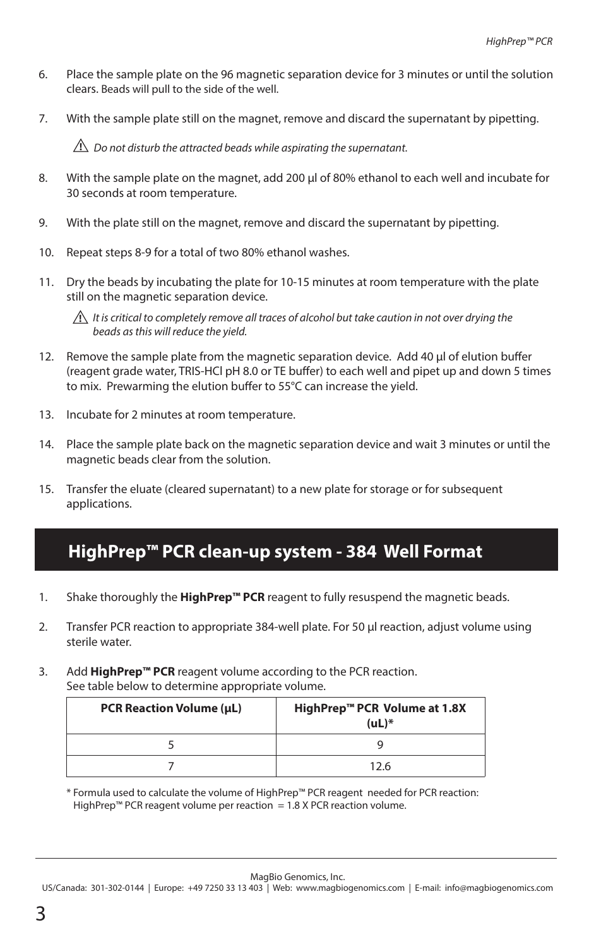- 6. Place the sample plate on the 96 magnetic separation device for 3 minutes or until the solution clears. Beads will pull to the side of the well.
- 7. With the sample plate still on the magnet, remove and discard the supernatant by pipetting.

 $\sqrt{2}$  Do not disturb the attracted beads while aspirating the supernatant.

- 8. With the sample plate on the magnet, add 200 μl of 80% ethanol to each well and incubate for 30 seconds at room temperature.
- 9. With the plate still on the magnet, remove and discard the supernatant by pipetting.
- 10. Repeat steps 8-9 for a total of two 80% ethanol washes.
- 11. Dry the beads by incubating the plate for 10-15 minutes at room temperature with the plate still on the magnetic separation device.

 $\mathbf{i}'$  It is critical to completely remove all traces of alcohol but take caution in not over drying the *beads as this will reduce the yield.*

- 12. Remove the sample plate from the magnetic separation device. Add 40  $\mu$  of elution buffer (reagent grade water, TRIS-HCl pH 8.0 or TE buffer) to each well and pipet up and down 5 times to mix. Prewarming the elution buffer to 55°C can increase the yield.
- 13. Incubate for 2 minutes at room temperature.
- 14. Place the sample plate back on the magnetic separation device and wait 3 minutes or until the magnetic beads clear from the solution.
- 15. Transfer the eluate (cleared supernatant) to a new plate for storage or for subsequent applications.

#### **HighPrep™ PCR clean-up system - 384 Well Format**

- 1. Shake thoroughly the **HighPrep™ PCR** reagent to fully resuspend the magnetic beads.
- 2. Transfer PCR reaction to appropriate 384-well plate. For 50 μl reaction, adjust volume using sterile water.
- 3. Add **HighPrep™ PCR** reagent volume according to the PCR reaction. See table below to determine appropriate volume.

| <b>PCR Reaction Volume (µL)</b> | HighPrep <sup>™</sup> PCR Volume at 1.8X<br>$(uL)^*$ |
|---------------------------------|------------------------------------------------------|
|                                 | a                                                    |
|                                 | 12.6                                                 |

\* Formula used to calculate the volume of HighPrep™ PCR reagent needed for PCR reaction: HighPrep™ PCR reagent volume per reaction =  $1.8$  X PCR reaction volume.

MagBio Genomics, Inc.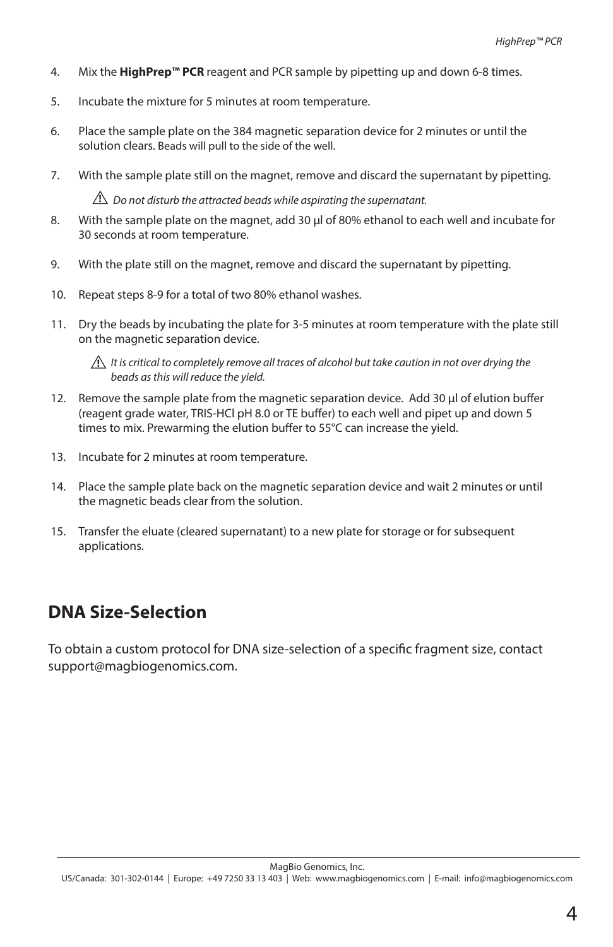- 4. Mix the **HighPrep™ PCR** reagent and PCR sample by pipetting up and down 6-8 times.
- 5. Incubate the mixture for 5 minutes at room temperature.
- 6. Place the sample plate on the 384 magnetic separation device for 2 minutes or until the solution clears. Beads will pull to the side of the well.
- 7. With the sample plate still on the magnet, remove and discard the supernatant by pipetting.

 $\triangle$  Do not disturb the attracted beads while aspirating the supernatant.

- 8. With the sample plate on the magnet, add 30 μl of 80% ethanol to each well and incubate for 30 seconds at room temperature.
- 9. With the plate still on the magnet, remove and discard the supernatant by pipetting.
- 10. Repeat steps 8-9 for a total of two 80% ethanol washes.
- 11. Dry the beads by incubating the plate for 3-5 minutes at room temperature with the plate still on the magnetic separation device.

 $\mathbf{i}\setminus\mathbf{j}$  It is critical to completely remove all traces of alcohol but take caution in not over drying the *beads as this will reduce the yield.*

- 12. Remove the sample plate from the magnetic separation device. Add 30  $\mu$ l of elution buffer (reagent grade water, TRIS-HCl pH 8.0 or TE buffer) to each well and pipet up and down 5 times to mix. Prewarming the elution buffer to 55°C can increase the yield.
- 13. Incubate for 2 minutes at room temperature.
- 14. Place the sample plate back on the magnetic separation device and wait 2 minutes or until the magnetic beads clear from the solution.
- 15. Transfer the eluate (cleared supernatant) to a new plate for storage or for subsequent applications.

#### **DNA Size-Selection**

To obtain a custom protocol for DNA size-selection of a specific fragment size, contact support@magbiogenomics.com.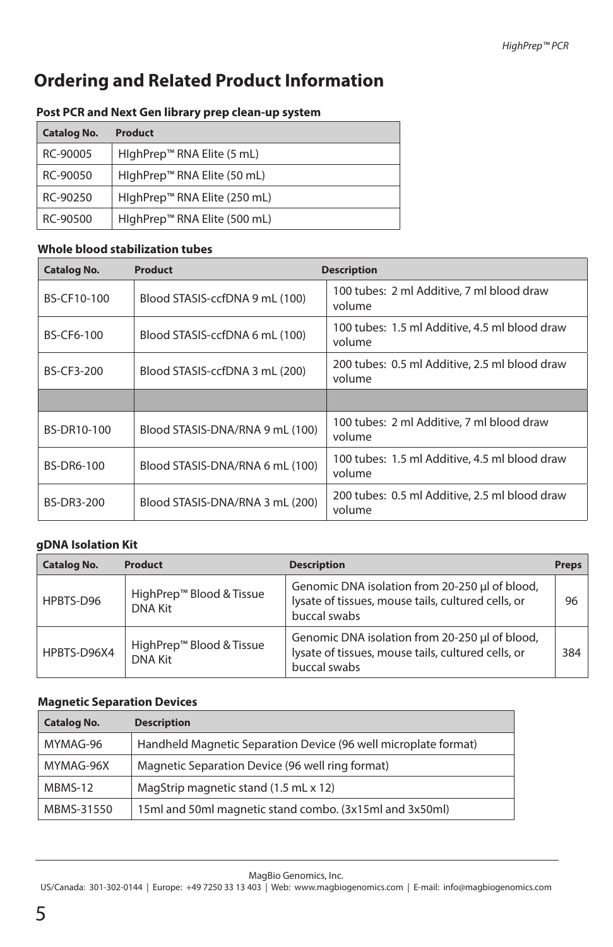## **Ordering and ReIated Product Information**

#### **Post PCR and Next Gen library prep clean-up system**

| <b>Catalog No.</b> | Product                                  |
|--------------------|------------------------------------------|
| RC-90005           | HighPrep <sup>™</sup> RNA Elite (5 mL)   |
| RC-90050           | HighPrep <sup>™</sup> RNA Elite (50 mL)  |
| RC-90250           | HighPrep <sup>™</sup> RNA Elite (250 mL) |
| RC-90500           | HighPrep™ RNA Elite (500 mL)             |

#### **Whole blood stabilization tubes**

| <b>Catalog No.</b> | Product                         | <b>Description</b>                                      |
|--------------------|---------------------------------|---------------------------------------------------------|
| BS-CF10-100        | Blood STASIS-ccfDNA 9 mL (100)  | 100 tubes: 2 ml Additive, 7 ml blood draw<br>volume     |
| BS-CF6-100         | Blood STASIS-ccfDNA 6 mL (100)  | 100 tubes: 1.5 ml Additive, 4.5 ml blood draw<br>volume |
| BS-CF3-200         | Blood STASIS-ccfDNA 3 mL (200)  | 200 tubes: 0.5 ml Additive, 2.5 ml blood draw<br>volume |
|                    |                                 |                                                         |
| BS-DR10-100        | Blood STASIS-DNA/RNA 9 mL (100) | 100 tubes: 2 ml Additive, 7 ml blood draw<br>volume     |
| BS-DR6-100         | Blood STASIS-DNA/RNA 6 mL (100) | 100 tubes: 1.5 ml Additive, 4.5 ml blood draw<br>volume |
| <b>BS-DR3-200</b>  | Blood STASIS-DNA/RNA 3 mL (200) | 200 tubes: 0.5 ml Additive, 2.5 ml blood draw<br>volume |

#### **gDNA Isolation Kit**

| <b>Catalog No.</b> | <b>Product</b>                                  | <b>Description</b>                                                                                                   | <b>Preps</b> |
|--------------------|-------------------------------------------------|----------------------------------------------------------------------------------------------------------------------|--------------|
| HPBTS-D96          | HighPrep <sup>™</sup> Blood & Tissue<br>DNA Kit | Genomic DNA isolation from 20-250 µl of blood,<br>lysate of tissues, mouse tails, cultured cells, or<br>buccal swabs | 96           |
| HPBTS-D96X4        | HighPrep™ Blood & Tissue<br>DNA Kit             | Genomic DNA isolation from 20-250 µl of blood,<br>lysate of tissues, mouse tails, cultured cells, or<br>buccal swabs | 384          |

#### **Magnetic Separation Devices**

| <b>Catalog No.</b><br><b>Description</b> |                                                                 |
|------------------------------------------|-----------------------------------------------------------------|
| MYMAG-96                                 | Handheld Magnetic Separation Device (96 well microplate format) |
| MYMAG-96X                                | Magnetic Separation Device (96 well ring format)                |
| MRMS-12                                  | MagStrip magnetic stand (1.5 mL x 12)                           |
| MBMS-31550                               | 15ml and 50ml magnetic stand combo. (3x15ml and 3x50ml)         |

MagBio Genomics, Inc.

US/Canada: 301-302-0144 | Europe: +49 7250 33 13 403 | Web: www.magbiogenomics.com | E-mail: info@magbiogenomics.com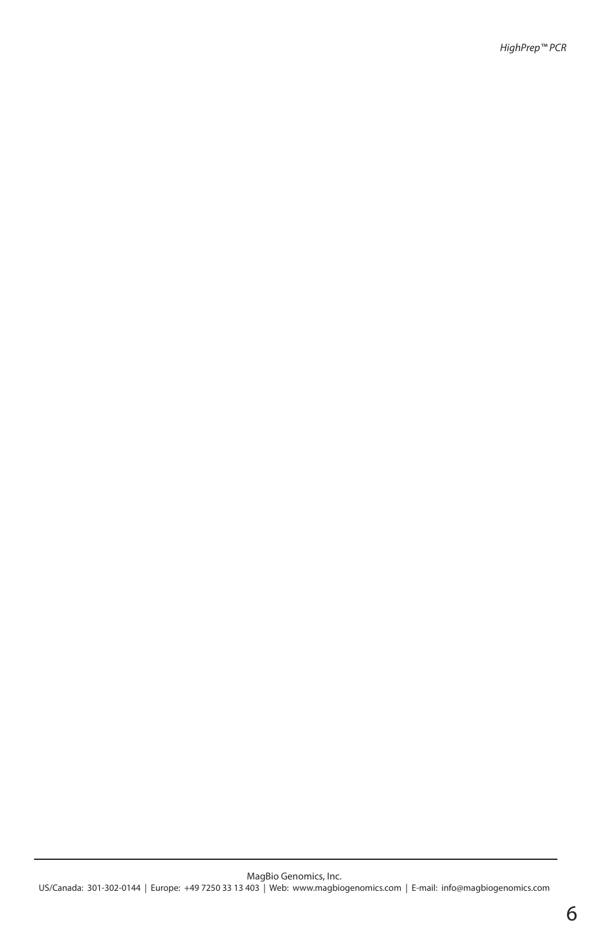*HighPrep™ PCR*